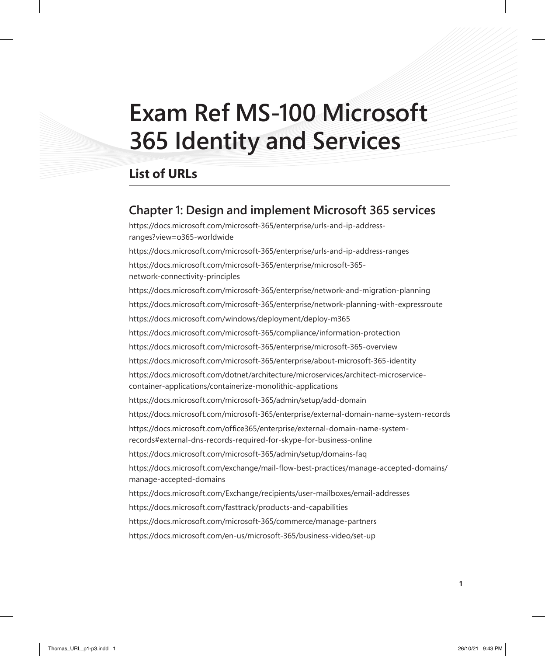# **Exam Ref MS-100 Microsoft 365 Identity and Services**

## **List of URLs**

#### **Chapter 1: Design and implement Microsoft 365 services**

https://docs.microsoft.com/microsoft-365/enterprise/urls-and-ip-addressranges?view=o365-worldwide

https://docs.microsoft.com/microsoft-365/enterprise/urls-and-ip-address-ranges https://docs.microsoft.com/microsoft-365/enterprise/microsoft-365 network-connectivity-principles https://docs.microsoft.com/microsoft-365/enterprise/network-and-migration-planning https://docs.microsoft.com/microsoft-365/enterprise/network-planning-with-expressroute https://docs.microsoft.com/windows/deployment/deploy-m365 https://docs.microsoft.com/microsoft-365/compliance/information-protection https://docs.microsoft.com/microsoft-365/enterprise/microsoft-365-overview https://docs.microsoft.com/microsoft-365/enterprise/about-microsoft-365-identity https://docs.microsoft.com/dotnet/architecture/microservices/architect-microservicecontainer-applications/containerize-monolithic-applications https://docs.microsoft.com/microsoft-365/admin/setup/add-domain https://docs.microsoft.com/microsoft-365/enterprise/external-domain-name-system-records https://docs.microsoft.com/office365/enterprise/external-domain-name-systemrecords#external-dns-records-required-for-skype-for-business-online https://docs.microsoft.com/microsoft-365/admin/setup/domains-faq https://docs.microsoft.com/exchange/mail-flow-best-practices/manage-accepted-domains/ manage-accepted-domains https://docs.microsoft.com/Exchange/recipients/user-mailboxes/email-addresses https://docs.microsoft.com/fasttrack/products-and-capabilities https://docs.microsoft.com/microsoft-365/commerce/manage-partners https://docs.microsoft.com/en-us/microsoft-365/business-video/set-up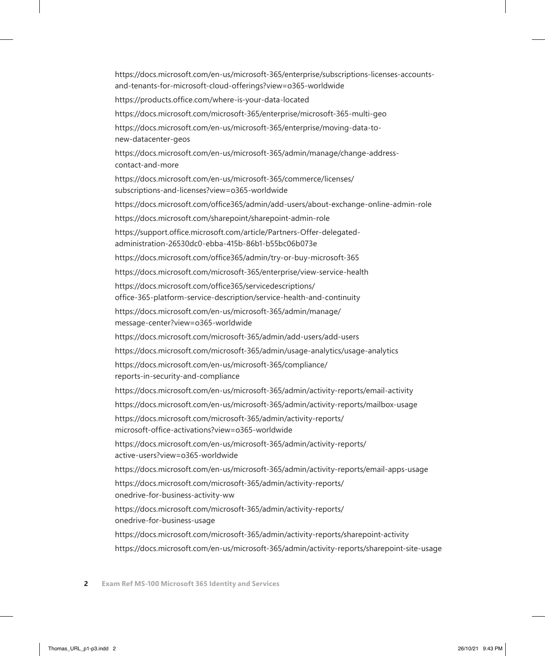https://docs.microsoft.com/en-us/microsoft-365/enterprise/subscriptions-licenses-accountsand-tenants-for-microsoft-cloud-offerings?view=o365-worldwide https://products.office.com/where-is-your-data-located https://docs.microsoft.com/microsoft-365/enterprise/microsoft-365-multi-geo https://docs.microsoft.com/en-us/microsoft-365/enterprise/moving-data-tonew-datacenter-geos https://docs.microsoft.com/en-us/microsoft-365/admin/manage/change-addresscontact-and-more https://docs.microsoft.com/en-us/microsoft-365/commerce/licenses/ subscriptions-and-licenses?view=o365-worldwide https://docs.microsoft.com/office365/admin/add-users/about-exchange-online-admin-role https://docs.microsoft.com/sharepoint/sharepoint-admin-role https://support.office.microsoft.com/article/Partners-Offer-delegatedadministration-26530dc0-ebba-415b-86b1-b55bc06b073e https://docs.microsoft.com/office365/admin/try-or-buy-microsoft-365 https://docs.microsoft.com/microsoft-365/enterprise/view-service-health https://docs.microsoft.com/office365/servicedescriptions/ office-365-platform-service-description/service-health-and-continuity https://docs.microsoft.com/en-us/microsoft-365/admin/manage/ message-center?view=o365-worldwide https://docs.microsoft.com/microsoft-365/admin/add-users/add-users https://docs.microsoft.com/microsoft-365/admin/usage-analytics/usage-analytics https://docs.microsoft.com/en-us/microsoft-365/compliance/ reports-in-security-and-compliance https://docs.microsoft.com/en-us/microsoft-365/admin/activity-reports/email-activity https://docs.microsoft.com/en-us/microsoft-365/admin/activity-reports/mailbox-usage https://docs.microsoft.com/microsoft-365/admin/activity-reports/ microsoft-office-activations?view=o365-worldwide https://docs.microsoft.com/en-us/microsoft-365/admin/activity-reports/ active-users?view=o365-worldwide https://docs.microsoft.com/en-us/microsoft-365/admin/activity-reports/email-apps-usage https://docs.microsoft.com/microsoft-365/admin/activity-reports/ onedrive-for-business-activity-ww https://docs.microsoft.com/microsoft-365/admin/activity-reports/ onedrive-for-business-usage https://docs.microsoft.com/microsoft-365/admin/activity-reports/sharepoint-activity https://docs.microsoft.com/en-us/microsoft-365/admin/activity-reports/sharepoint-site-usage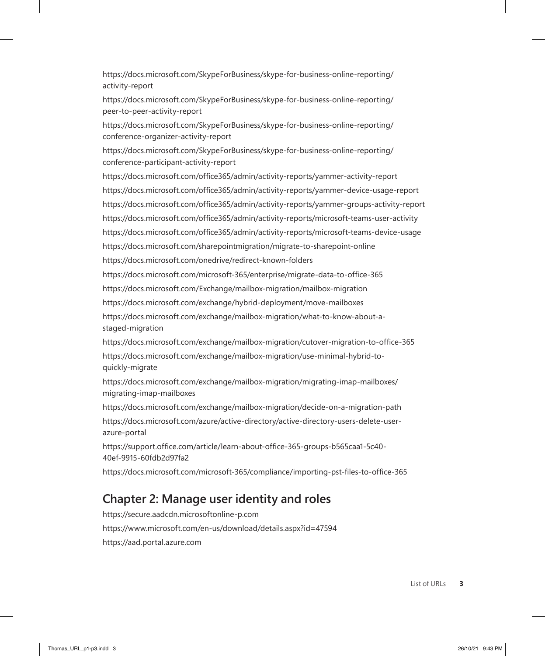https://docs.microsoft.com/SkypeForBusiness/skype-for-business-online-reporting/ activity-report

https://docs.microsoft.com/SkypeForBusiness/skype-for-business-online-reporting/ peer-to-peer-activity-report

https://docs.microsoft.com/SkypeForBusiness/skype-for-business-online-reporting/ conference-organizer-activity-report

https://docs.microsoft.com/SkypeForBusiness/skype-for-business-online-reporting/ conference-participant-activity-report

https://docs.microsoft.com/office365/admin/activity-reports/yammer-activity-report https://docs.microsoft.com/office365/admin/activity-reports/yammer-device-usage-report https://docs.microsoft.com/office365/admin/activity-reports/yammer-groups-activity-report https://docs.microsoft.com/office365/admin/activity-reports/microsoft-teams-user-activity https://docs.microsoft.com/office365/admin/activity-reports/microsoft-teams-device-usage https://docs.microsoft.com/sharepointmigration/migrate-to-sharepoint-online

https://docs.microsoft.com/onedrive/redirect-known-folders

https://docs.microsoft.com/microsoft-365/enterprise/migrate-data-to-office-365

https://docs.microsoft.com/Exchange/mailbox-migration/mailbox-migration

https://docs.microsoft.com/exchange/hybrid-deployment/move-mailboxes

https://docs.microsoft.com/exchange/mailbox-migration/what-to-know-about-astaged-migration

https://docs.microsoft.com/exchange/mailbox-migration/cutover-migration-to-office-365 https://docs.microsoft.com/exchange/mailbox-migration/use-minimal-hybrid-toquickly-migrate

https://docs.microsoft.com/exchange/mailbox-migration/migrating-imap-mailboxes/ migrating-imap-mailboxes

https://docs.microsoft.com/exchange/mailbox-migration/decide-on-a-migration-path

https://docs.microsoft.com/azure/active-directory/active-directory-users-delete-userazure-portal

https://support.office.com/article/learn-about-office-365-groups-b565caa1-5c40- 40ef-9915-60fdb2d97fa2

https://docs.microsoft.com/microsoft-365/compliance/importing-pst-files-to-office-365

### **Chapter 2: Manage user identity and roles**

https://secure.aadcdn.microsoftonline-p.com https://www.microsoft.com/en-us/download/details.aspx?id=47594 https://aad.portal.azure.com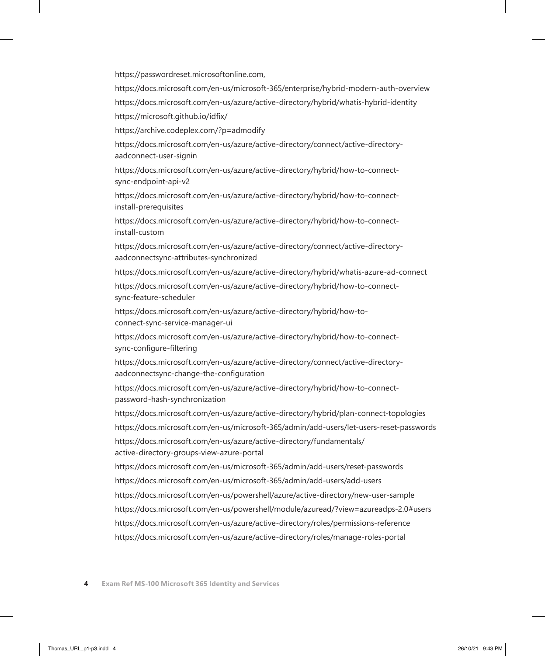https://passwordreset.microsoftonline.com,

https://docs.microsoft.com/en-us/microsoft-365/enterprise/hybrid-modern-auth-overview https://docs.microsoft.com/en-us/azure/active-directory/hybrid/whatis-hybrid-identity https://microsoft.github.io/idfix/

https://archive.codeplex.com/?p=admodify

https://docs.microsoft.com/en-us/azure/active-directory/connect/active-directoryaadconnect-user-signin

https://docs.microsoft.com/en-us/azure/active-directory/hybrid/how-to-connectsync-endpoint-api-v2

https://docs.microsoft.com/en-us/azure/active-directory/hybrid/how-to-connectinstall-prerequisites

https://docs.microsoft.com/en-us/azure/active-directory/hybrid/how-to-connectinstall-custom

https://docs.microsoft.com/en-us/azure/active-directory/connect/active-directoryaadconnectsync-attributes-synchronized

https://docs.microsoft.com/en-us/azure/active-directory/hybrid/whatis-azure-ad-connect

https://docs.microsoft.com/en-us/azure/active-directory/hybrid/how-to-connectsync-feature-scheduler

https://docs.microsoft.com/en-us/azure/active-directory/hybrid/how-toconnect-sync-service-manager-ui

https://docs.microsoft.com/en-us/azure/active-directory/hybrid/how-to-connectsync-configure-filtering

https://docs.microsoft.com/en-us/azure/active-directory/connect/active-directoryaadconnectsync-change-the-configuration

https://docs.microsoft.com/en-us/azure/active-directory/hybrid/how-to-connectpassword-hash-synchronization

https://docs.microsoft.com/en-us/azure/active-directory/hybrid/plan-connect-topologies https://docs.microsoft.com/en-us/microsoft-365/admin/add-users/let-users-reset-passwords

https://docs.microsoft.com/en-us/azure/active-directory/fundamentals/ active-directory-groups-view-azure-portal

https://docs.microsoft.com/en-us/microsoft-365/admin/add-users/reset-passwords https://docs.microsoft.com/en-us/microsoft-365/admin/add-users/add-users

https://docs.microsoft.com/en-us/powershell/azure/active-directory/new-user-sample

https://docs.microsoft.com/en-us/powershell/module/azuread/?view=azureadps-2.0#users https://docs.microsoft.com/en-us/azure/active-directory/roles/permissions-reference

https://docs.microsoft.com/en-us/azure/active-directory/roles/manage-roles-portal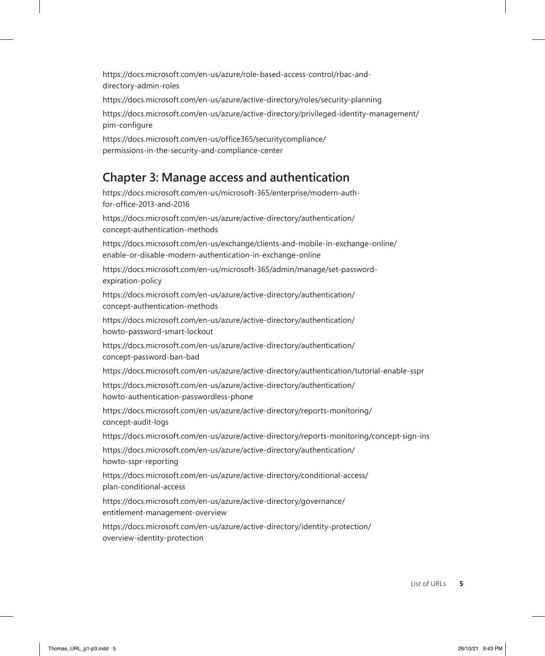https://docs.microsoft.com/en-us/azure/role-based-access-control/rbac-anddirectory-admin-roles

https://docs.microsoft.com/en-us/azure/active-directory/roles/security-planning

https://docs.microsoft.com/en-us/azure/active-directory/privileged-identity-management/ pim-configure

https://docs.microsoft.com/en-us/office365/securitycompliance/ permissions-in-the-security-and-compliance-center

## **Chapter 3: Manage access and authentication**

https://docs.microsoft.com/en-us/microsoft-365/enterprise/modern-authfor-office-2013-and-2016

https://docs.microsoft.com/en-us/azure/active-directory/authentication/ concept-authentication-methods

https://docs.microsoft.com/en-us/exchange/clients-and-mobile-in-exchange-online/ enable-or-disable-modern-authentication-in-exchange-online

https://docs.microsoft.com/en-us/microsoft-365/admin/manage/set-passwordexpiration-policy

https://docs.microsoft.com/en-us/azure/active-directory/authentication/ concept-authentication-methods

https://docs.microsoft.com/en-us/azure/active-directory/authentication/ howto-password-smart-lockout

https://docs.microsoft.com/en-us/azure/active-directory/authentication/ concept-password-ban-bad

https://docs.microsoft.com/en-us/azure/active-directory/authentication/tutorial-enable-sspr

https://docs.microsoft.com/en-us/azure/active-directory/authentication/ howto-authentication-passwordless-phone

https://docs.microsoft.com/en-us/azure/active-directory/reports-monitoring/ concept-audit-logs

https://docs.microsoft.com/en-us/azure/active-directory/reports-monitoring/concept-sign-ins

https://docs.microsoft.com/en-us/azure/active-directory/authentication/ howto-sspr-reporting

https://docs.microsoft.com/en-us/azure/active-directory/conditional-access/ plan-conditional-access

https://docs.microsoft.com/en-us/azure/active-directory/governance/ entitlement-management-overview

https://docs.microsoft.com/en-us/azure/active-directory/identity-protection/ overview-identity-protection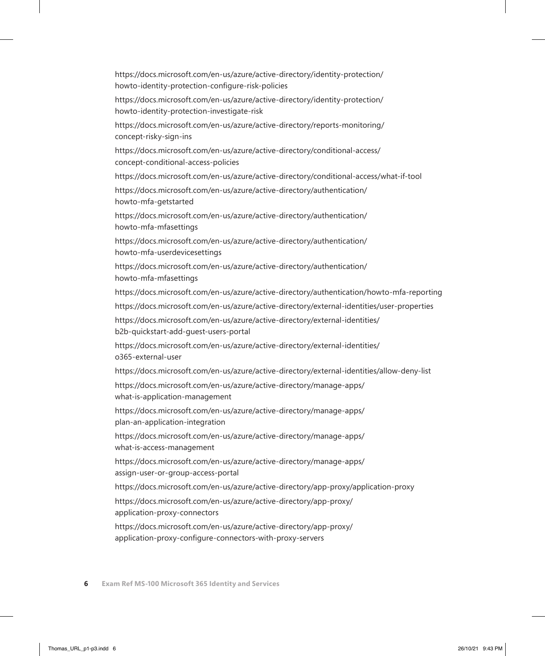https://docs.microsoft.com/en-us/azure/active-directory/identity-protection/ howto-identity-protection-configure-risk-policies

https://docs.microsoft.com/en-us/azure/active-directory/identity-protection/ howto-identity-protection-investigate-risk

https://docs.microsoft.com/en-us/azure/active-directory/reports-monitoring/ concept-risky-sign-ins

https://docs.microsoft.com/en-us/azure/active-directory/conditional-access/ concept-conditional-access-policies

https://docs.microsoft.com/en-us/azure/active-directory/conditional-access/what-if-tool

https://docs.microsoft.com/en-us/azure/active-directory/authentication/ howto-mfa-getstarted

https://docs.microsoft.com/en-us/azure/active-directory/authentication/ howto-mfa-mfasettings

https://docs.microsoft.com/en-us/azure/active-directory/authentication/ howto-mfa-userdevicesettings

https://docs.microsoft.com/en-us/azure/active-directory/authentication/ howto-mfa-mfasettings

https://docs.microsoft.com/en-us/azure/active-directory/authentication/howto-mfa-reporting

https://docs.microsoft.com/en-us/azure/active-directory/external-identities/user-properties

https://docs.microsoft.com/en-us/azure/active-directory/external-identities/ b2b-quickstart-add-guest-users-portal

https://docs.microsoft.com/en-us/azure/active-directory/external-identities/ o365-external-user

https://docs.microsoft.com/en-us/azure/active-directory/external-identities/allow-deny-list

https://docs.microsoft.com/en-us/azure/active-directory/manage-apps/ what-is-application-management

https://docs.microsoft.com/en-us/azure/active-directory/manage-apps/ plan-an-application-integration

https://docs.microsoft.com/en-us/azure/active-directory/manage-apps/ what-is-access-management

https://docs.microsoft.com/en-us/azure/active-directory/manage-apps/ assign-user-or-group-access-portal

https://docs.microsoft.com/en-us/azure/active-directory/app-proxy/application-proxy

https://docs.microsoft.com/en-us/azure/active-directory/app-proxy/ application-proxy-connectors

https://docs.microsoft.com/en-us/azure/active-directory/app-proxy/ application-proxy-configure-connectors-with-proxy-servers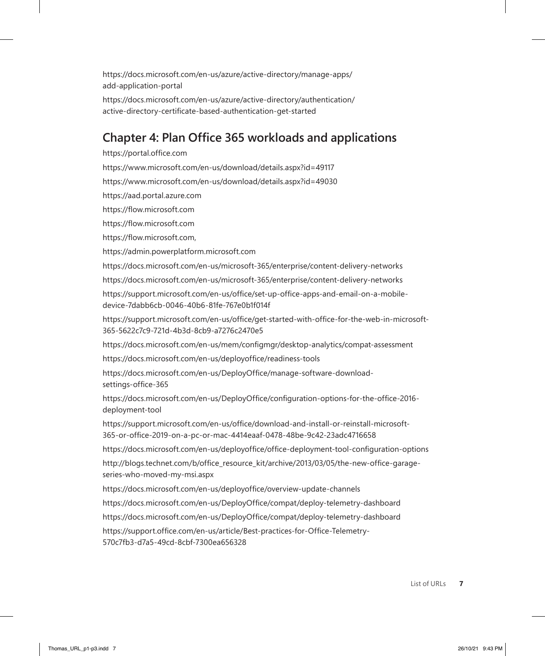https://docs.microsoft.com/en-us/azure/active-directory/manage-apps/ add-application-portal

https://docs.microsoft.com/en-us/azure/active-directory/authentication/ active-directory-certificate-based-authentication-get-started

#### **Chapter 4: Plan Office 365 workloads and applications**

https://portal.office.com

https://www.microsoft.com/en-us/download/details.aspx?id=49117

https://www.microsoft.com/en-us/download/details.aspx?id=49030

https://aad.portal.azure.com

https://flow.microsoft.com

https://flow.microsoft.com

https://flow.microsoft.com,

https://admin.powerplatform.microsoft.com

https://docs.microsoft.com/en-us/microsoft-365/enterprise/content-delivery-networks

https://docs.microsoft.com/en-us/microsoft-365/enterprise/content-delivery-networks

https://support.microsoft.com/en-us/office/set-up-office-apps-and-email-on-a-mobiledevice-7dabb6cb-0046-40b6-81fe-767e0b1f014f

https://support.microsoft.com/en-us/office/get-started-with-office-for-the-web-in-microsoft-365-5622c7c9-721d-4b3d-8cb9-a7276c2470e5

https://docs.microsoft.com/en-us/mem/configmgr/desktop-analytics/compat-assessment https://docs.microsoft.com/en-us/deployoffice/readiness-tools

https://docs.microsoft.com/en-us/DeployOffice/manage-software-downloadsettings-office-365

https://docs.microsoft.com/en-us/DeployOffice/configuration-options-for-the-office-2016 deployment-tool

https://support.microsoft.com/en-us/office/download-and-install-or-reinstall-microsoft-365-or-office-2019-on-a-pc-or-mac-4414eaaf-0478-48be-9c42-23adc4716658

https://docs.microsoft.com/en-us/deployoffice/office-deployment-tool-configuration-options http://blogs.technet.com/b/office\_resource\_kit/archive/2013/03/05/the-new-office-garageseries-who-moved-my-msi.aspx

https://docs.microsoft.com/en-us/deployoffice/overview-update-channels

https://docs.microsoft.com/en-us/DeployOffice/compat/deploy-telemetry-dashboard

https://docs.microsoft.com/en-us/DeployOffice/compat/deploy-telemetry-dashboard

https://support.office.com/en-us/article/Best-practices-for-Office-Telemetry-570c7fb3-d7a5-49cd-8cbf-7300ea656328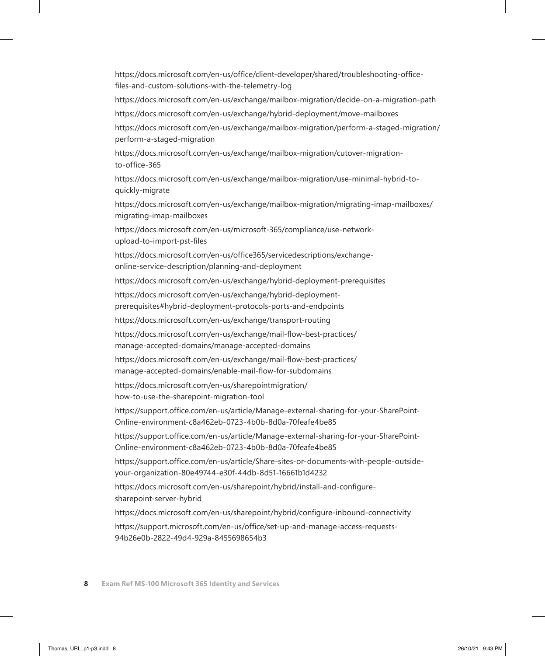https://docs.microsoft.com/en-us/office/client-developer/shared/troubleshooting-officefiles-and-custom-solutions-with-the-telemetry-log

https://docs.microsoft.com/en-us/exchange/mailbox-migration/decide-on-a-migration-path

https://docs.microsoft.com/en-us/exchange/hybrid-deployment/move-mailboxes

https://docs.microsoft.com/en-us/exchange/mailbox-migration/perform-a-staged-migration/ perform-a-staged-migration

https://docs.microsoft.com/en-us/exchange/mailbox-migration/cutover-migrationto-office-365

https://docs.microsoft.com/en-us/exchange/mailbox-migration/use-minimal-hybrid-toquickly-migrate

https://docs.microsoft.com/en-us/exchange/mailbox-migration/migrating-imap-mailboxes/ migrating-imap-mailboxes

https://docs.microsoft.com/en-us/microsoft-365/compliance/use-networkupload-to-import-pst-files

https://docs.microsoft.com/en-us/office365/servicedescriptions/exchangeonline-service-description/planning-and-deployment

https://docs.microsoft.com/en-us/exchange/hybrid-deployment-prerequisites

https://docs.microsoft.com/en-us/exchange/hybrid-deploymentprerequisites#hybrid-deployment-protocols-ports-and-endpoints

https://docs.microsoft.com/en-us/exchange/transport-routing

https://docs.microsoft.com/en-us/exchange/mail-flow-best-practices/ manage-accepted-domains/manage-accepted-domains

https://docs.microsoft.com/en-us/exchange/mail-flow-best-practices/ manage-accepted-domains/enable-mail-flow-for-subdomains

https://docs.microsoft.com/en-us/sharepointmigration/ how-to-use-the-sharepoint-migration-tool

https://support.office.com/en-us/article/Manage-external-sharing-for-your-SharePoint-Online-environment-c8a462eb-0723-4b0b-8d0a-70feafe4be85

https://support.office.com/en-us/article/Manage-external-sharing-for-your-SharePoint-Online-environment-c8a462eb-0723-4b0b-8d0a-70feafe4be85

https://support.office.com/en-us/article/Share-sites-or-documents-with-people-outsideyour-organization-80e49744-e30f-44db-8d51-16661b1d4232

https://docs.microsoft.com/en-us/sharepoint/hybrid/install-and-configuresharepoint-server-hybrid

https://docs.microsoft.com/en-us/sharepoint/hybrid/configure-inbound-connectivity https://support.microsoft.com/en-us/office/set-up-and-manage-access-requests-94b26e0b-2822-49d4-929a-8455698654b3